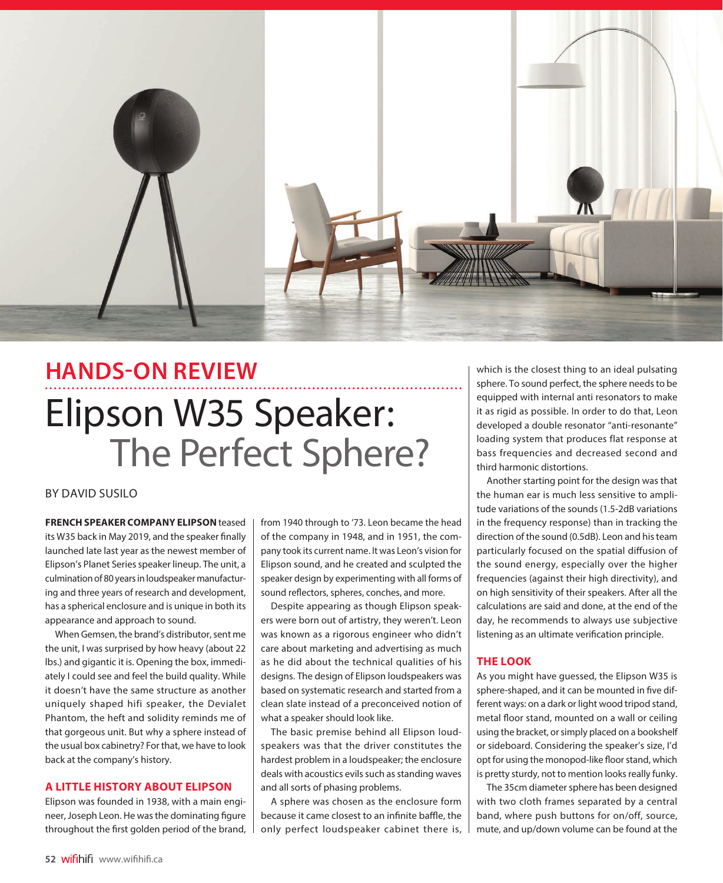

# **HANDS-ON REVIEW** Elipson W35 Speaker: The Perfect Sphere?

## BY DAVID SUSILO

**FRENCH SPEAKER COMPANY ELIPSON** teased its W35 back in May 2019, and the speaker finally launched late last year as the newest member of Elipson's Planet Series speaker lineup. The unit, a culmination of 80 years in loudspeaker manufacturing and three years of research and development, has a spherical enclosure and is unique in both its appearance and approach to sound.

When Gemsen, the brand's distributor, sent me the unit, I was surprised by how heavy (about 22 lbs.) and gigantic it is. Opening the box, immediately I could see and feel the build quality. While it doesn't have the same structure as another uniquely shaped hifi speaker, the Devialet Phantom, the heft and solidity reminds me of that gorgeous unit. But why a sphere instead of the usual box cabinetry? For that, we have to look back at the company's history.

## **A LITTLE HISTORY ABOUT ELIPSON**

Elipson was founded in 1938, with a main engineer, Joseph Leon. He was the dominating figure throughout the first golden period of the brand, from 1940 through to '73. Leon became the head of the company in 1948, and in 1951, the company took its current name. It was Leon's vision for Elipson sound, and he created and sculpted the speaker design by experimenting with all forms of sound reflectors, spheres, conches, and more.

Despite appearing as though Elipson speakers were born out of artistry, they weren't. Leon was known as a rigorous engineer who didn't care about marketing and advertising as much as he did about the technical qualities of his designs. The design of Elipson loudspeakers was based on systematic research and started from a clean slate instead of a preconceived notion of what a speaker should look like.

The basic premise behind all Elipson loudspeakers was that the driver constitutes the hardest problem in a loudspeaker; the enclosure deals with acoustics evils such as standing waves and all sorts of phasing problems.

A sphere was chosen as the enclosure form because it came closest to an infinite baffle, the only perfect loudspeaker cabinet there is, which is the closest thing to an ideal pulsating sphere. To sound perfect, the sphere needs to be equipped with internal anti resonators to make it as rigid as possible. In order to do that, Leon developed a double resonator "anti-resonante" loading system that produces flat response at bass frequencies and decreased second and third harmonic distortions.

Another starting point for the design was that the human ear is much less sensitive to amplitude variations of the sounds (1.5-2dB variations in the frequency response) than in tracking the direction of the sound (0.5dB). Leon and his team particularly focused on the spatial diffusion of the sound energy, especially over the higher frequencies (against their high directivity), and on high sensitivity of their speakers. After all the calculations are said and done, at the end of the day, he recommends to always use subjective listening as an ultimate verification principle.

## **THE LOOK**

As you might have guessed, the Elipson W35 is sphere-shaped, and it can be mounted in five different ways: on a dark or light wood tripod stand, metal floor stand, mounted on a wall or ceiling using the bracket, or simply placed on a bookshelf or sideboard. Considering the speaker's size, I'd opt for using the monopod-like floor stand, which is pretty sturdy, not to mention looks really funky.

The 35cm diameter sphere has been designed with two cloth frames separated by a central band, where push buttons for on/off, source, mute, and up/down volume can be found at the